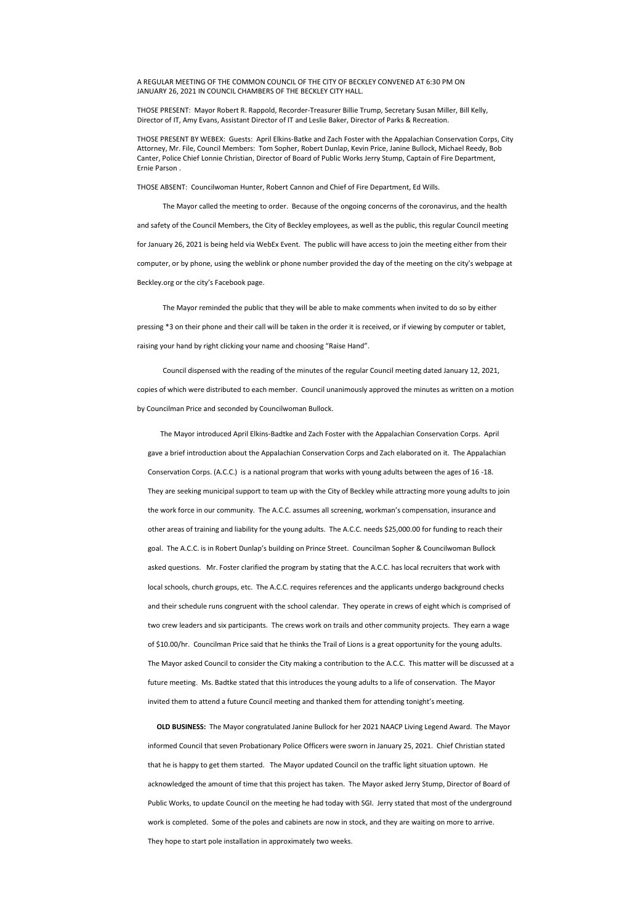## A REGULAR MEETING OF THE COMMON COUNCIL OF THE CITY OF BECKLEY CONVENED AT 6:30 PM ON JANUARY 26, 2021 IN COUNCIL CHAMBERS OF THE BECKLEY CITY HALL.

THOSE PRESENT: Mayor Robert R. Rappold, Recorder-Treasurer Billie Trump, Secretary Susan Miller, Bill Kelly, Director of IT, Amy Evans, Assistant Director of IT and Leslie Baker, Director of Parks & Recreation.

THOSE PRESENT BY WEBEX: Guests: April Elkins-Batke and Zach Foster with the Appalachian Conservation Corps, City Attorney, Mr. File, Council Members: Tom Sopher, Robert Dunlap, Kevin Price, Janine Bullock, Michael Reedy, Bob Canter, Police Chief Lonnie Christian, Director of Board of Public Works Jerry Stump, Captain of Fire Department, Ernie Parson .

THOSE ABSENT: Councilwoman Hunter, Robert Cannon and Chief of Fire Department, Ed Wills.

The Mayor called the meeting to order. Because of the ongoing concerns of the coronavirus, and the health and safety of the Council Members, the City of Beckley employees, as well as the public, this regular Council meeting for January 26, 2021 is being held via WebEx Event. The public will have access to join the meeting either from their computer, or by phone, using the weblink or phone number provided the day of the meeting on the city's webpage at Beckley.org or the city's Facebook page.

The Mayor reminded the public that they will be able to make comments when invited to do so by either pressing \*3 on their phone and their call will be taken in the order it is received, or if viewing by computer or tablet, raising your hand by right clicking your name and choosing "Raise Hand".

 Council dispensed with the reading of the minutes of the regular Council meeting dated January 12, 2021, copies of which were distributed to each member. Council unanimously approved the minutes as written on a motion by Councilman Price and seconded by Councilwoman Bullock.

 The Mayor introduced April Elkins-Badtke and Zach Foster with the Appalachian Conservation Corps. April gave a brief introduction about the Appalachian Conservation Corps and Zach elaborated on it. The Appalachian Conservation Corps. (A.C.C.) is a national program that works with young adults between the ages of 16 -18. They are seeking municipal support to team up with the City of Beckley while attracting more young adults to join the work force in our community. The A.C.C. assumes all screening, workman's compensation, insurance and other areas of training and liability for the young adults. The A.C.C. needs \$25,000.00 for funding to reach their goal. The A.C.C. is in Robert Dunlap's building on Prince Street. Councilman Sopher & Councilwoman Bullock asked questions. Mr. Foster clarified the program by stating that the A.C.C. has local recruiters that work with local schools, church groups, etc. The A.C.C. requires references and the applicants undergo background checks and their schedule runs congruent with the school calendar. They operate in crews of eight which is comprised of two crew leaders and six participants. The crews work on trails and other community projects. They earn a wage

of \$10.00/hr. Councilman Price said that he thinks the Trail of Lions is a great opportunity for the young adults.

The Mayor asked Council to consider the City making a contribution to the A.C.C. This matter will be discussed at a

future meeting. Ms. Badtke stated that this introduces the young adults to a life of conservation. The Mayor invited them to attend a future Council meeting and thanked them for attending tonight's meeting.

 **OLD BUSINESS:** The Mayor congratulated Janine Bullock for her 2021 NAACP Living Legend Award. The Mayor informed Council that seven Probationary Police Officers were sworn in January 25, 2021. Chief Christian stated that he is happy to get them started. The Mayor updated Council on the traffic light situation uptown. He acknowledged the amount of time that this project has taken. The Mayor asked Jerry Stump, Director of Board of Public Works, to update Council on the meeting he had today with SGI. Jerry stated that most of the underground work is completed. Some of the poles and cabinets are now in stock, and they are waiting on more to arrive. They hope to start pole installation in approximately two weeks.